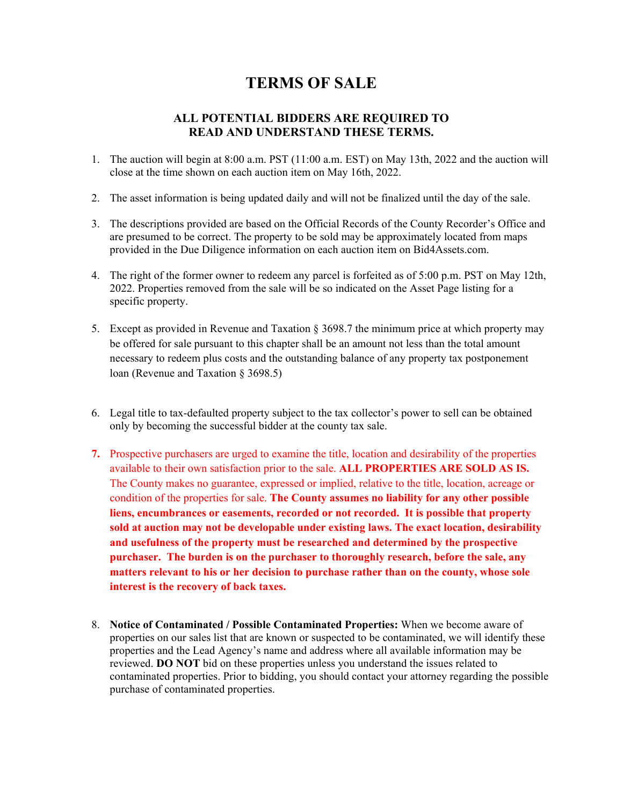## **TERMS OF SALE**

## **ALL POTENTIAL BIDDERS ARE REQUIRED TO READ AND UNDERSTAND THESE TERMS.**

- 1. The auction will begin at 8:00 a.m. PST (11:00 a.m. EST) on May 13th, 2022 and the auction will close at the time shown on each auction item on May 16th, 2022.
- 2. The asset information is being updated daily and will not be finalized until the day of the sale.
- 3. The descriptions provided are based on the Official Records of the County Recorder's Office and are presumed to be correct. The property to be sold may be approximately located from maps provided in the Due Diligence information on each auction item on Bid4Assets.com.
- 4. The right of the former owner to redeem any parcel is forfeited as of 5:00 p.m. PST on May 12th, 2022. Properties removed from the sale will be so indicated on the Asset Page listing for a specific property.
- 5. Except as provided in Revenue and Taxation § 3698.7 the minimum price at which property may be offered for sale pursuant to this chapter shall be an amount not less than the total amount necessary to redeem plus costs and the outstanding balance of any property tax postponement loan (Revenue and Taxation § 3698.5)
- 6. Legal title to tax-defaulted property subject to the tax collector's power to sell can be obtained only by becoming the successful bidder at the county tax sale.
- **7.** Prospective purchasers are urged to examine the title, location and desirability of the properties available to their own satisfaction prior to the sale. **ALL PROPERTIES ARE SOLD AS IS.**  The County makes no guarantee, expressed or implied, relative to the title, location, acreage or condition of the properties for sale. **The County assumes no liability for any other possible liens, encumbrances or easements, recorded or not recorded. It is possible that property sold at auction may not be developable under existing laws. The exact location, desirability and usefulness of the property must be researched and determined by the prospective purchaser. The burden is on the purchaser to thoroughly research, before the sale, any matters relevant to his or her decision to purchase rather than on the county, whose sole interest is the recovery of back taxes.**
- 8. **Notice of Contaminated / Possible Contaminated Properties:** When we become aware of properties on our sales list that are known or suspected to be contaminated, we will identify these properties and the Lead Agency's name and address where all available information may be reviewed. **DO NOT** bid on these properties unless you understand the issues related to contaminated properties. Prior to bidding, you should contact your attorney regarding the possible purchase of contaminated properties.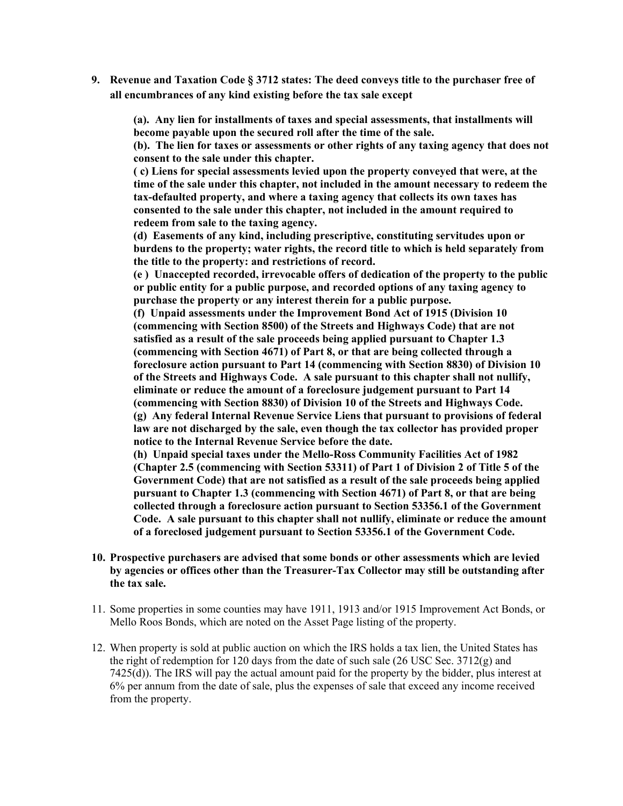**9. Revenue and Taxation Code § 3712 states: The deed conveys title to the purchaser free of all encumbrances of any kind existing before the tax sale except** 

**(a). Any lien for installments of taxes and special assessments, that installments will become payable upon the secured roll after the time of the sale.**

**(b). The lien for taxes or assessments or other rights of any taxing agency that does not consent to the sale under this chapter.**

**( c) Liens for special assessments levied upon the property conveyed that were, at the time of the sale under this chapter, not included in the amount necessary to redeem the tax-defaulted property, and where a taxing agency that collects its own taxes has consented to the sale under this chapter, not included in the amount required to redeem from sale to the taxing agency.**

**(d) Easements of any kind, including prescriptive, constituting servitudes upon or burdens to the property; water rights, the record title to which is held separately from the title to the property: and restrictions of record.**

**(e ) Unaccepted recorded, irrevocable offers of dedication of the property to the public or public entity for a public purpose, and recorded options of any taxing agency to purchase the property or any interest therein for a public purpose.**

**(f) Unpaid assessments under the Improvement Bond Act of 1915 (Division 10 (commencing with Section 8500) of the Streets and Highways Code) that are not satisfied as a result of the sale proceeds being applied pursuant to Chapter 1.3 (commencing with Section 4671) of Part 8, or that are being collected through a foreclosure action pursuant to Part 14 (commencing with Section 8830) of Division 10 of the Streets and Highways Code. A sale pursuant to this chapter shall not nullify, eliminate or reduce the amount of a foreclosure judgement pursuant to Part 14 (commencing with Section 8830) of Division 10 of the Streets and Highways Code. (g) Any federal Internal Revenue Service Liens that pursuant to provisions of federal law are not discharged by the sale, even though the tax collector has provided proper notice to the Internal Revenue Service before the date.**

**(h) Unpaid special taxes under the Mello-Ross Community Facilities Act of 1982 (Chapter 2.5 (commencing with Section 53311) of Part 1 of Division 2 of Title 5 of the Government Code) that are not satisfied as a result of the sale proceeds being applied pursuant to Chapter 1.3 (commencing with Section 4671) of Part 8, or that are being collected through a foreclosure action pursuant to Section 53356.1 of the Government Code. A sale pursuant to this chapter shall not nullify, eliminate or reduce the amount of a foreclosed judgement pursuant to Section 53356.1 of the Government Code.**

- **10. Prospective purchasers are advised that some bonds or other assessments which are levied by agencies or offices other than the Treasurer-Tax Collector may still be outstanding after the tax sale.**
- 11. Some properties in some counties may have 1911, 1913 and/or 1915 Improvement Act Bonds, or Mello Roos Bonds, which are noted on the Asset Page listing of the property.
- 12. When property is sold at public auction on which the IRS holds a tax lien, the United States has the right of redemption for 120 days from the date of such sale  $(26 \text{ USC} \text{ Sec. } 3712 \text{ (g)}$  and 7425(d)). The IRS will pay the actual amount paid for the property by the bidder, plus interest at 6% per annum from the date of sale, plus the expenses of sale that exceed any income received from the property.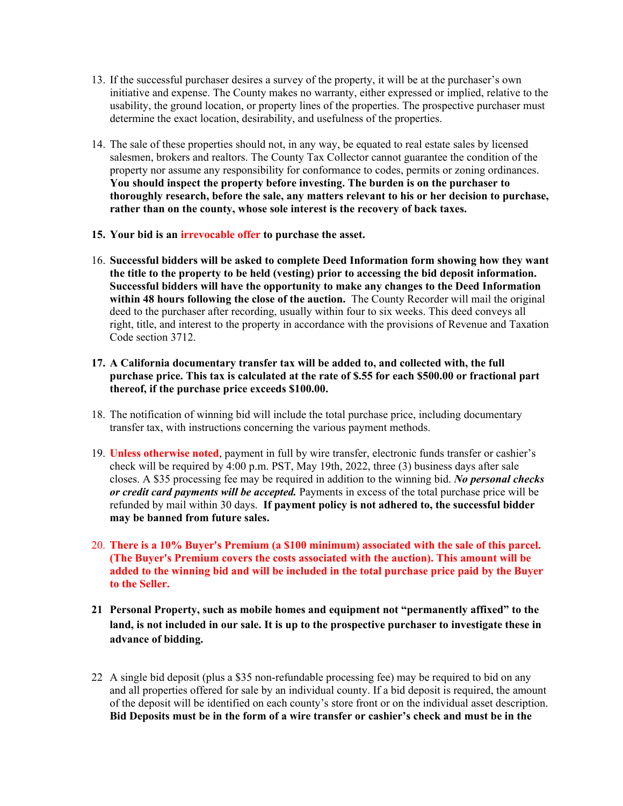- 13. If the successful purchaser desires a survey of the property, it will be at the purchaser's own initiative and expense. The County makes no warranty, either expressed or implied, relative to the usability, the ground location, or property lines of the properties. The prospective purchaser must determine the exact location, desirability, and usefulness of the properties.
- 14. The sale of these properties should not, in any way, be equated to real estate sales by licensed salesmen, brokers and realtors. The County Tax Collector cannot guarantee the condition of the property nor assume any responsibility for conformance to codes, permits or zoning ordinances. **You should inspect the property before investing. The burden is on the purchaser to thoroughly research, before the sale, any matters relevant to his or her decision to purchase, rather than on the county, whose sole interest is the recovery of back taxes.**
- **15. Your bid is an irrevocable offer to purchase the asset.**
- 16. **Successful bidders will be asked to complete Deed Information form showing how they want the title to the property to be held (vesting) prior to accessing the bid deposit information. Successful bidders will have the opportunity to make any changes to the Deed Information within 48 hours following the close of the auction.** The County Recorder will mail the original deed to the purchaser after recording, usually within four to six weeks. This deed conveys all right, title, and interest to the property in accordance with the provisions of Revenue and Taxation Code section 3712.
- **17. A California documentary transfer tax will be added to, and collected with, the full purchase price. This tax is calculated at the rate of \$.55 for each \$500.00 or fractional part thereof, if the purchase price exceeds \$100.00.**
- 18. The notification of winning bid will include the total purchase price, including documentary transfer tax, with instructions concerning the various payment methods.
- 19. **Unless otherwise noted**, payment in full by wire transfer, electronic funds transfer or cashier's check will be required by 4:00 p.m. PST, May 19th, 2022, three (3) business days after sale closes. A \$35 processing fee may be required in addition to the winning bid. *No personal checks or credit card payments will be accepted.* Payments in excess of the total purchase price will be refunded by mail within 30 days. **If payment policy is not adhered to, the successful bidder may be banned from future sales.**
- 20. **There is a 10% Buyer's Premium (a \$100 minimum) associated with the sale of this parcel. (The Buyer's Premium covers the costs associated with the auction). This amount will be added to the winning bid and will be included in the total purchase price paid by the Buyer to the Seller.**
- **21 Personal Property, such as mobile homes and equipment not "permanently affixed" to the land, is not included in our sale. It is up to the prospective purchaser to investigate these in advance of bidding.**
- 22 A single bid deposit (plus a \$35 non-refundable processing fee) may be required to bid on any and all properties offered for sale by an individual county. If a bid deposit is required, the amount of the deposit will be identified on each county's store front or on the individual asset description. **Bid Deposits must be in the form of a wire transfer or cashier's check and must be in the**